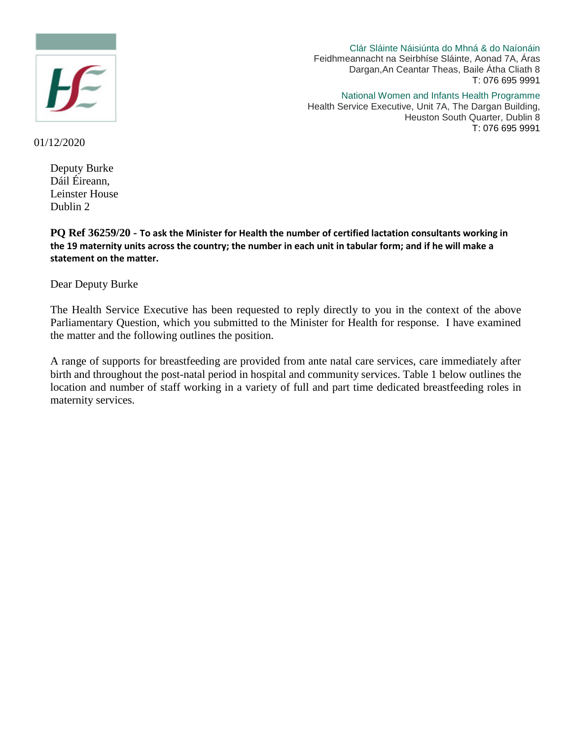

Clár Sláinte Náisiúnta do Mhná & do Naíonáin Feidhmeannacht na Seirbhíse Sláinte, Aonad 7A, Áras Dargan,An Ceantar Theas, Baile Átha Cliath 8 T: 076 695 9991

National Women and Infants Health Programme

Health Service Executive, Unit 7A, The Dargan Building, Heuston South Quarter, Dublin 8 T: 076 695 9991

01/12/2020

Deputy Burke Dáil Éireann, Leinster House Dublin 2

**PQ Ref 36259/20 - To ask the Minister for Health the number of certified lactation consultants working in the 19 maternity units across the country; the number in each unit in tabular form; and if he will make a statement on the matter.**

Dear Deputy Burke

The Health Service Executive has been requested to reply directly to you in the context of the above Parliamentary Question, which you submitted to the Minister for Health for response. I have examined the matter and the following outlines the position.

A range of supports for breastfeeding are provided from ante natal care services, care immediately after birth and throughout the post-natal period in hospital and community services. Table 1 below outlines the location and number of staff working in a variety of full and part time dedicated breastfeeding roles in maternity services.